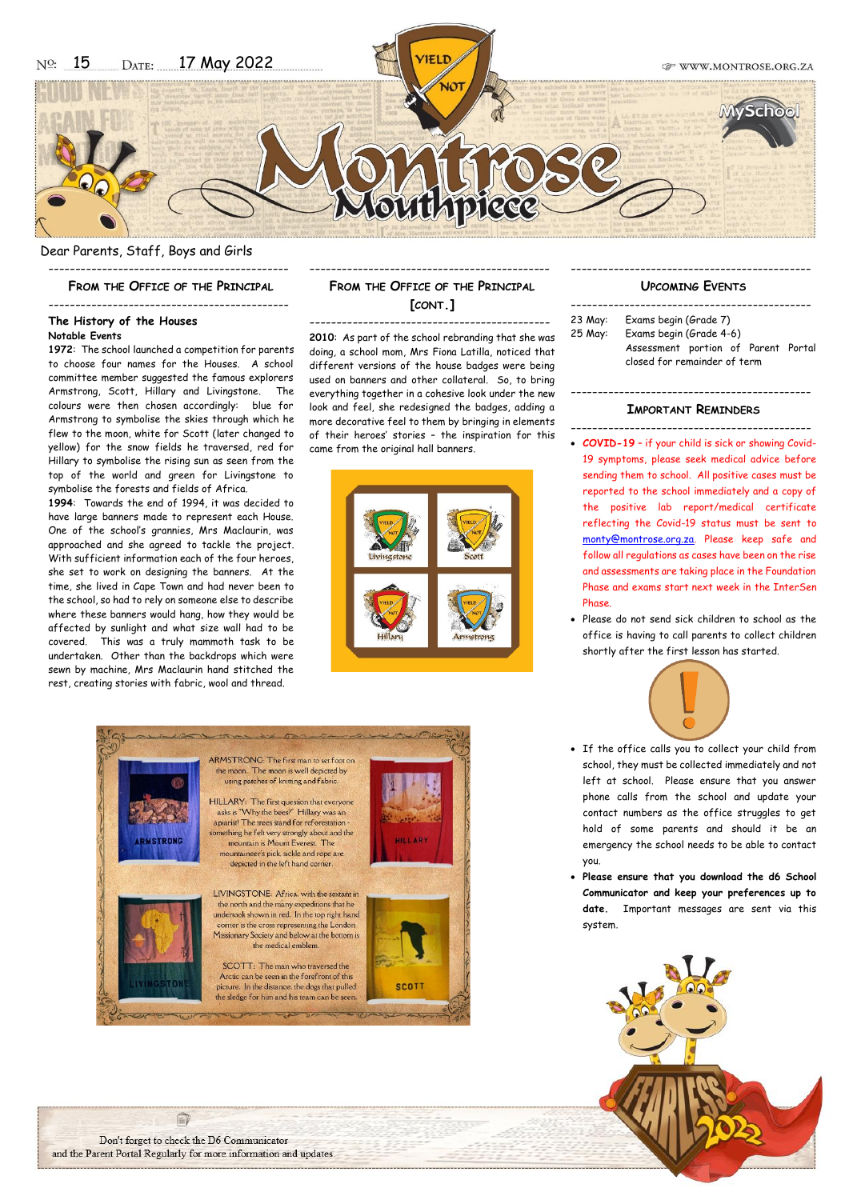Dear Parents, Staff, Boys and Girls

--------------------------------------------- **FROM THE OFFICE OF THE PRINCIPAL**

#### ---------------------------------------------

#### **The History of the Houses Notable Events**

**1972**: The school launched a competition for parents to choose four names for the Houses. A school committee member suggested the famous explorers Armstrong, Scott, Hillary and Livingstone. The colours were then chosen accordingly: blue for Armstrong to symbolise the skies through which he flew to the moon, white for Scott (later changed to yellow) for the snow fields he traversed, red for Hillary to symbolise the rising sun as seen from the top of the world and green for Livingstone to symbolise the forests and fields of Africa.

**1994**: Towards the end of 1994, it was decided to have large banners made to represent each House. One of the school's grannies, Mrs Maclaurin, was approached and she agreed to tackle the project. With sufficient information each of the four heroes, she set to work on designing the banners. At the time, she lived in Cape Town and had never been to the school, so had to rely on someone else to describe where these banners would hang, how they would be affected by sunlight and what size wall had to be covered. This was a truly mammoth task to be undertaken. Other than the backdrops which were sewn by machine, Mrs Maclaurin hand stitched the rest, creating stories with fabric, wool and thread.

## --------------------------------------------- **FROM THE OFFICE OF THE PRINCIPAL [CONT.]**

--------------------------------------------- **2010**: As part of the school rebranding that she was doing, a school mom, Mrs Fiona Latilla, noticed that different versions of the house badges were being used on banners and other collateral. So, to bring everything together in a cohesive look under the new look and feel, she redesigned the badges, adding a more decorative feel to them by bringing in elements of their heroes' stories – the inspiration for this came from the original hall banners.





#### --------------------------------------------- **UPCOMING EVENTS**

--------------------------------------------- 23 May: Exams begin (Grade 7) 25 May: Exams begin (Grade 4-6) Assessment portion of Parent Portal closed for remainder of term

#### --------------------------------------------- **IMPORTANT REMINDERS**

 $-$ 

- **COVID-19** if your child is sick or showing Covid-19 symptoms, please seek medical advice before sending them to school. All positive cases must be reported to the school immediately and a copy of the positive lab report/medical certificate reflecting the Covid-19 status must be sent to [monty@montrose.org.za.](mailto:monty@montrose.org.za) Please keep safe and follow all regulations as cases have been on the rise and assessments are taking place in the Foundation Phase and exams start next week in the InterSen Phase.
- Please do not send sick children to school as the office is having to call parents to collect children shortly after the first lesson has started.



- If the office calls you to collect your child from school, they must be collected immediately and not left at school. Please ensure that you answer phone calls from the school and update your contact numbers as the office struggles to get hold of some parents and should it be an emergency the school needs to be able to contact you.
- **Please ensure that you download the d6 School Communicator and keep your preferences up to date.** Important messages are sent via this system.



自 Don't forget to check the D6 Communicator and the Parent Portal Regularly for more information and updates.